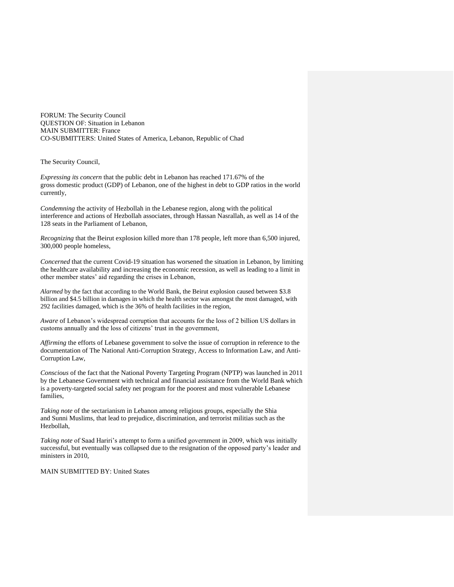FORUM: The Security Council QUESTION OF: Situation in Lebanon MAIN SUBMITTER: France CO-SUBMITTERS: United States of America, Lebanon, Republic of Chad

The Security Council,

*Expressing its concern* that the public debt in Lebanon has reached 171.67% of the gross domestic product (GDP) of Lebanon, one of the highest in debt to GDP ratios in the world currently,

*Condemning* the activity of Hezbollah in the Lebanese region, along with the political interference and actions of Hezbollah associates, through Hassan Nasrallah, as well as 14 of the 128 seats in the Parliament of Lebanon,

*Recognizing* that the Beirut explosion killed more than 178 people, left more than 6,500 injured, 300,000 people homeless,

*Concerned* that the current Covid-19 situation has worsened the situation in Lebanon, by limiting the healthcare availability and increasing the economic recession, as well as leading to a limit in other member states' aid regarding the crises in Lebanon,

*Alarmed* by the fact that according to the World Bank, the Beirut explosion caused between \$3.8 billion and \$4.5 billion in damages in which the health sector was amongst the most damaged, with 292 facilities damaged, which is the 36% of health facilities in the region,

*Aware* of Lebanon's widespread corruption that accounts for the loss of 2 billion US dollars in customs annually and the loss of citizens' trust in the government,

*Affirming* the efforts of Lebanese government to solve the issue of corruption in reference to the documentation of The National Anti-Corruption Strategy, Access to Information Law, and Anti-Corruption Law,

*Conscious* of the fact that the National Poverty Targeting Program (NPTP) was launched in 2011 by the Lebanese Government with technical and financial assistance from the World Bank which is a poverty-targeted social safety net program for the poorest and most vulnerable Lebanese families,

*Taking note* of the sectarianism in Lebanon among religious groups, especially the Shia and Sunni Muslims, that lead to prejudice, discrimination, and terrorist militias such as the Hezbollah,

*Taking note* of Saad Hariri's attempt to form a unified government in 2009, which was initially successful, but eventually was collapsed due to the resignation of the opposed party's leader and ministers in 2010,

MAIN SUBMITTED BY: United States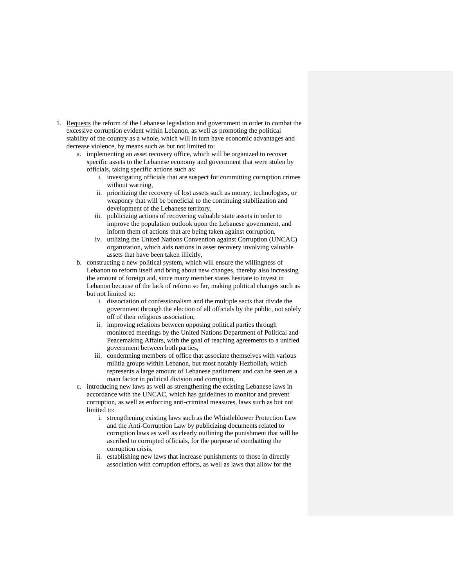- 1. Requests the reform of the Lebanese legislation and government in order to combat the excessive corruption evident within Lebanon, as well as promoting the political stability of the country as a whole, which will in turn have economic advantages and decrease violence, by means such as but not limited to:
	- a. implementing an asset recovery office, which will be organized to recover specific assets to the Lebanese economy and government that were stolen by officials, taking specific actions such as:
		- i. investigating officials that are suspect for committing corruption crimes without warning,
		- ii. prioritizing the recovery of lost assets such as money, technologies, or weaponry that will be beneficial to the continuing stabilization and development of the Lebanese territory,
		- iii. publicizing actions of recovering valuable state assets in order to improve the population outlook upon the Lebanese government, and inform them of actions that are being taken against corruption,
		- iv. utilizing the United Nations Convention against Corruption (UNCAC) organization, which aids nations in asset recovery involving valuable assets that have been taken illicitly,
	- b. constructing a new political system, which will ensure the willingness of Lebanon to reform itself and bring about new changes, thereby also increasing the amount of foreign aid, since many member states hesitate to invest in Lebanon because of the lack of reform so far, making political changes such as but not limited to:
		- i. dissociation of confessionalism and the multiple sects that divide the government through the election of all officials by the public, not solely off of their religious association,
		- ii. improving relations between opposing political parties through monitored meetings by the United Nations Department of Political and Peacemaking Affairs, with the goal of reaching agreements to a unified government between both parties,
		- iii. condemning members of office that associate themselves with various militia groups within Lebanon, but most notably Hezbollah, which represents a large amount of Lebanese parliament and can be seen as a main factor in political division and corruption,
	- c. introducing new laws as well as strengthening the existing Lebanese laws in accordance with the UNCAC, which has guidelines to monitor and prevent corruption, as well as enforcing anti-criminal measures, laws such as but not limited to:
		- i. strengthening existing laws such as the Whistleblower Protection Law and the Anti-Corruption Law by publicizing documents related to corruption laws as well as clearly outlining the punishment that will be ascribed to corrupted officials, for the purpose of combatting the corruption crisis,
		- ii. establishing new laws that increase punishments to those in directly association with corruption efforts, as well as laws that allow for the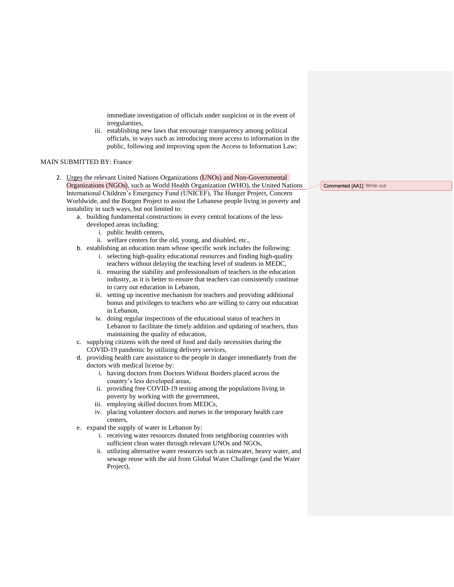immediate investigation of officials under suspicion or in the event of irregularities,

iii. establishing new laws that encourage transparency among political officials, in ways such as introducing more access to information in the public, following and improving upon the Access to Information Law;

## MAIN SUBMITTED BY: France

- 2. Urges the relevant United Nations Organizations (UNOs) and Non-Governmental Organizations (NGOs), such as World Health Organization (WHO), the United Nations International Children's Emergency Fund (UNICEF), The Hunger Project, Concern Worldwide, and the Borgen Project to assist the Lebanese people living in poverty and instability in such ways, but not limited to:
	- a. building fundamental constructions in every central locations of the lessdeveloped areas including:
		- i. public health centers,
		- ii. welfare centers for the old, young, and disabled, etc.,
	- b. establishing an education team whose specific work includes the following:
		- i. selecting high-quality educational resources and finding high-quality teachers without delaying the teaching level of students in MEDC,
		- ii. ensuring the stability and professionalism of teachers in the education industry, as it is better to ensure that teachers can consistently continue to carry out education in Lebanon,
		- iii. setting up incentive mechanism for teachers and providing additional bonus and privileges to teachers who are willing to carry out education in Lebanon,
		- iv. doing regular inspections of the educational status of teachers in Lebanon to facilitate the timely addition and updating of teachers, thus maintaining the quality of education,
	- c. supplying citizens with the need of food and daily necessities during the COVID-19 pandemic by utilizing delivery services,
	- d. providing health care assistance to the people in danger immediately from the doctors with medical license by:
		- i. having doctors from Doctors Without Borders placed across the country's less developed areas,
		- ii. providing free COVID-19 testing among the populations living in poverty by working with the government,
		- iii. employing skilled doctors from MEDCs,
		- iv. placing volunteer doctors and nurses in the temporary health care centers,
	- e. expand the supply of water in Lebanon by:
		- i. receiving water resources donated from neighboring countries with sufficient clean water through relevant UNOs and NGOs,
		- ii. utilizing alternative water resources such as rainwater, heavy water, and sewage reuse with the aid from Global Water Challenge (and the Water Project),

Commented [AA1]: Write out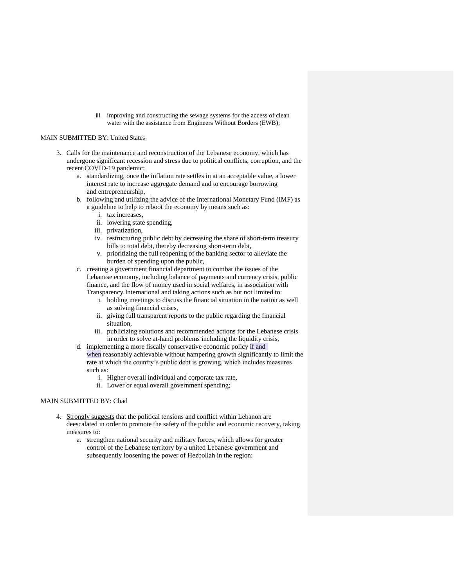iii. improving and constructing the sewage systems for the access of clean water with the assistance from Engineers Without Borders (EWB);

## MAIN SUBMITTED BY: United States

- 3. Calls for the maintenance and reconstruction of the Lebanese economy, which has undergone significant recession and stress due to political conflicts, corruption, and the recent COVID-19 pandemic:
	- a. standardizing, once the inflation rate settles in at an acceptable value, a lower interest rate to increase aggregate demand and to encourage borrowing and entrepreneurship,
	- b. following and utilizing the advice of the International Monetary Fund (IMF) as a guideline to help to reboot the economy by means such as:
		- i. tax increases,
		- ii. lowering state spending,
		- iii. privatization,
		- iv. restructuring public debt by decreasing the share of short-term treasury bills to total debt, thereby decreasing short-term debt,
		- v. prioritizing the full reopening of the banking sector to alleviate the burden of spending upon the public,
	- c. creating a government financial department to combat the issues of the Lebanese economy, including balance of payments and currency crisis, public finance, and the flow of money used in social welfares, in association with Transparency International and taking actions such as but not limited to:
		- i. holding meetings to discuss the financial situation in the nation as well as solving financial crises,
		- ii. giving full transparent reports to the public regarding the financial situation,
		- iii. publicizing solutions and recommended actions for the Lebanese crisis in order to solve at-hand problems including the liquidity crisis,
	- d. implementing a more fiscally conservative economic policy if and when reasonably achievable without hampering growth significantly to limit the rate at which the country's public debt is growing, which includes measures such as:
		- i. Higher overall individual and corporate tax rate,
		- ii. Lower or equal overall government spending;

## MAIN SUBMITTED BY: Chad

- 4. Strongly suggests that the political tensions and conflict within Lebanon are deescalated in order to promote the safety of the public and economic recovery, taking measures to:
	- a. strengthen national security and military forces, which allows for greater control of the Lebanese territory by a united Lebanese government and subsequently loosening the power of Hezbollah in the region: